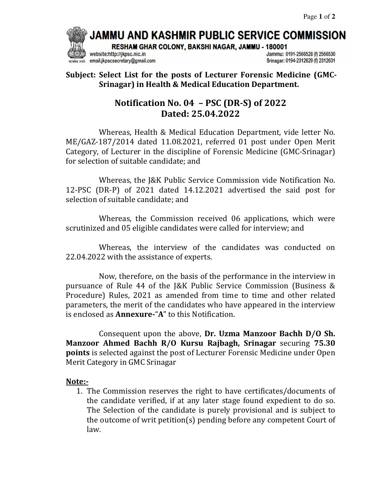JAMMU AND KASHMIR PUBLIC SERVICE COMMISSION

RESHAM GHAR COLONY, BAKSHI NAGAR, JAMMU - 180001

website:http://jkpsc.nic.in email:jkpscsecretary@gmail.com Jammu: 0191-2566528 (f) 2566530 Srinagar: 0194-2312629 (f) 2312631

**Subject: Select List for the posts of Lecturer Forensic Medicine (GMC-Srinagar) in Health & Medical Education Department.**

## **Notification No. 04 – PSC (DR-S) of 2022 Dated: 25.04.2022**

Whereas, Health & Medical Education Department, vide letter No. ME/GAZ-187/2014 dated 11.08.2021, referred 01 post under Open Merit Category, of Lecturer in the discipline of Forensic Medicine (GMC-Srinagar) for selection of suitable candidate; and

 Whereas, the J&K Public Service Commission vide Notification No. 12-PSC (DR-P) of 2021 dated 14.12.2021 advertised the said post for selection of suitable candidate; and

 Whereas, the Commission received 06 applications, which were scrutinized and 05 eligible candidates were called for interview; and

 Whereas, the interview of the candidates was conducted on 22.04.2022 with the assistance of experts.

 Now, therefore, on the basis of the performance in the interview in pursuance of Rule 44 of the J&K Public Service Commission (Business & Procedure) Rules, 2021 as amended from time to time and other related parameters, the merit of the candidates who have appeared in the interview is enclosed as **Annexure-**"**A**" to this Notification.

 Consequent upon the above, **Dr. Uzma Manzoor Bachh D/O Sh. Manzoor Ahmed Bachh R/O Kursu Rajbagh, Srinagar** securing **75.30 points** is selected against the post of Lecturer Forensic Medicine under Open Merit Category in GMC Srinagar

## **Note:-**

1. The Commission reserves the right to have certificates/documents of the candidate verified, if at any later stage found expedient to do so. The Selection of the candidate is purely provisional and is subject to the outcome of writ petition(s) pending before any competent Court of law.